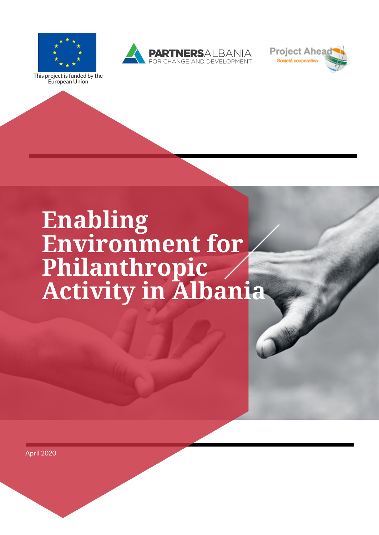# **Enabling Environment for Philanthropic Activity in Albania**





This project is funded by the European Union



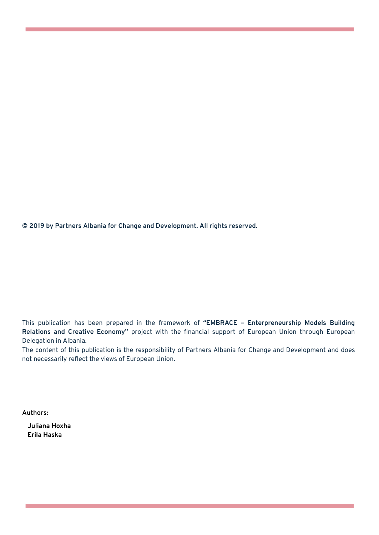This publication has been prepared in the framework of **"EMBRACE – Enterpreneurship Models Building Relations and Creative Economy"** project with the financial support of European Union through European Delegation in Albania.

The content of this publication is the responsibility of Partners Albania for Change and Development and does not necessarily reflect the views of European Union.

#### **© 2019 by Partners Albania for Change and Development. All rights reserved.**

#### **Authors:**

**Juliana Hoxha Erila Haska**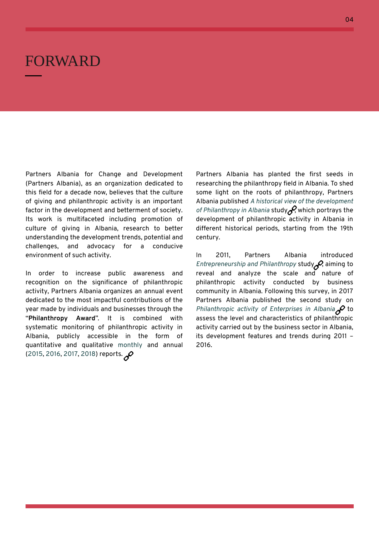### FORWARD

Partners Albania for Change and Development (Partners Albania), as an organization dedicated to

this field for a decade now, believes that the culture of giving and philanthropic activity is an important factor in the development and betterment of society. Its work is multifaceted including promotion of culture of giving in Albania, research to better understanding the development trends, potential and challenges, and advocacy for a conducive environment of such activity.

In order to increase public awareness and recognition on the significance of philanthropic activity, Partners Albania organizes an annual event dedicated to the most impactful contributions of the year made by individuals and businesses through the "**Philanthropy Award**". It is combined with systematic monitoring of philanthropic activity in Albania, publicly accessible in the form of quantitative and qualitative monthly and annual (2015, 2016, 2017, 2018) reports.

Partners Albania has planted the first seeds in researching the philanthropy field in Albania. To shed

some light on the roots of philanthropy, Partners Albania published *A historical view of the development of Philanthropy in Albania* study [,](http://partnersalbania.org/wp-content/uploads/2016/01/A_Historical_View_of_the_Development_of_Philanthropy_in_Albania.pdf) which portrays the development of philanthropic activity in Albania in different historical periods, starting from the 19th century.

In 2011, Partners Albania introduced *Entrepreneurship and Philanthropy* study [,](http://partnersalbania.org/wp-content/uploads/2016/01/Studimi.filantropiseSurvey.Philanthropy.pdf) aiming to reveal and analyze the scale and nature of philanthropic activity conducted by business community in Albania. Following this survey, in 2017 Partners Albania published the second study on *Philanthropic activity of Enterprises in Albania* to assess the level and characteristics of philanthropic activity carried out by the business sector in Albania, its development features and trends during 2011 – 2016.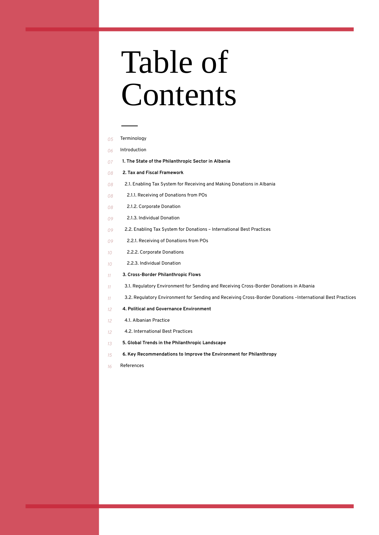# Table of Contents

- Terminology *05*
- Introduction *06*
- **1. The State of the Philanthropic Sector in Albania** *07*
- **2. Tax and Fiscal Framework** *08*
- 2.1. Enabling Tax System for Receiving and Making Donations in Albania *08*
- 2.1.1. Receiving of Donations from POs *08*
- 2.1.2. Corporate Donation *08*
- 2.1.3. Individual Donation *09*
- 2.2. Enabling Tax System for Donations International Best Practices *09*
- 2.2.1. Receiving of Donations from POs *09*
- 2.2.2. Corporate Donations *10*
- 2.2.3. Individual Donation *10*
- **3. Cross-Border Philanthropic Flows** *11*
- 3.1. Regulatory Environment for Sending and Receiving Cross-Border Donations in Albania *11*
- 3.2. Regulatory Environment for Sending and Receiving Cross-Border Donations –International Best Practices *11*
- **4. Political and Governance Environment** *12*
- 4.1. Albanian Practice *12*
- 4.2. International Best Practices *12*
- **5. Global Trends in the Philanthropic Landscape** *13*
- **6. Key Recommendations to Improve the Environment for Philanthropy** *15*
- References *16*

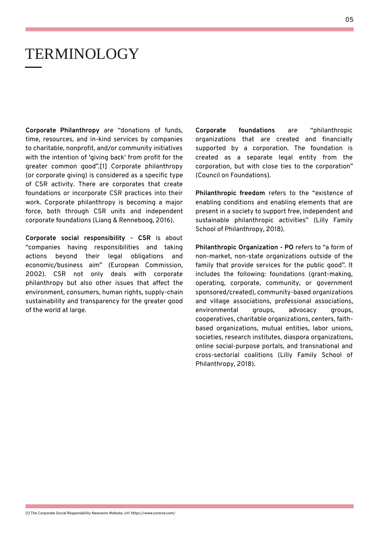**Corporate Philanthropy** are "donations of funds, time, resources, and in-kind services by companies to charitable, nonprofit, and/or community initiatives with the intention of 'giving back' from profit for the greater common good".[1] Corporate philanthropy (or corporate giving) is considered as a specific type of CSR activity. There are corporates that create

foundations or incorporate CSR practices into their work. Corporate philanthropy is becoming a major force, both through CSR units and independent corporate foundations (Liang & Renneboog, 2016).

**Corporate social responsibility - CSR** is about "companies having responsibilities and taking actions beyond their legal obligations and economic/business aim" (European Commission, 2002). CSR not only deals with corporate philanthropy but also other issues that affect the environment, consumers, human rights, supply-chain sustainability and transparency for the greater good of the world at large.

[1] The Corporate Social Responsibility Newswire Website. Url: https://www.csrwire.com/

### TERMINOLOGY

**Corporate foundations** are "philanthropic organizations that are created and financially supported by a corporation. The foundation is created as a separate legal entity from the corporation, but with close ties to the corporation" (Council on Foundations).

**Philanthropic freedom** refers to the "existence of enabling conditions and enabling elements that are present in a society to support free, independent and sustainable philanthropic activities" (Lilly Family School of Philanthropy, 2018).

**Philanthropic Organization - PO** refers to "a form of non-market, non-state organizations outside of the family that provide services for the public good". It includes the following: foundations (grant-making, operating, corporate, community, or government sponsored/created), community-based organizations and village associations, professional associations, environmental groups, advocacy groups, cooperatives, charitable organizations, centers, faithbased organizations, mutual entities, labor unions, societies, research institutes, diaspora organizations, online social-purpose portals, and transnational and cross-sectorial coalitions (Lilly Family School of Philanthropy, 2018).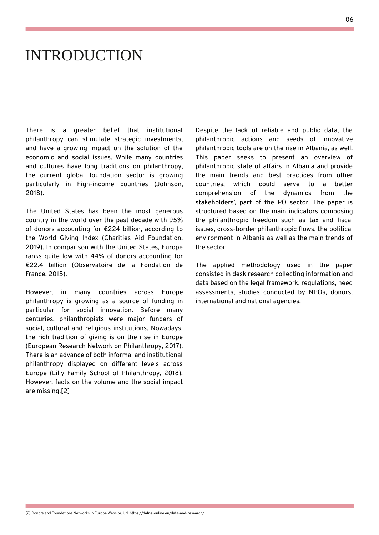There is a greater belief that institutional philanthropy can stimulate strategic investments, and have a growing impact on the solution of the economic and social issues. While many countries and cultures have long traditions on philanthropy, the current global foundation sector is growing particularly in high-income countries (Johnson,

2018).

The United States has been the most generous country in the world over the past decade with 95% of donors accounting for €224 billion, according to the World Giving Index (Charities Aid Foundation, 2019). In comparison with the United States, Europe ranks quite low with 44% of donors accounting for €22.4 billion (Observatoire de la Fondation de France, 2015).

However, in many countries across Europe philanthropy is growing as a source of funding in particular for social innovation. Before many centuries, philanthropists were major funders of social, cultural and religious institutions. Nowadays, the rich tradition of giving is on the rise in Europe (European Research Network on Philanthropy, 2017). There is an advance of both informal and institutional philanthropy displayed on different levels across Europe (Lilly Family School of Philanthropy, 2018).

However, facts on the volume and the social impact are missing.[2]

[2] Donors and Foundations Networks in Europe Website. Url: https://dafne-online.eu/data-and-research/

### INTRODUCTION

Despite the lack of reliable and public data, the philanthropic actions and seeds of innovative philanthropic tools are on the rise in Albania, as well. This paper seeks to present an overview of philanthropic state of affairs in Albania and provide the main trends and best practices from other countries, which could serve to a better comprehension of the dynamics from the stakeholders' , part of the PO sector. The paper is structured based on the main indicators composing the philanthropic freedom such as tax and fiscal issues, cross-border philanthropic flows, the political environment in Albania as well as the main trends of the sector.

The applied methodology used in the paper consisted in desk research collecting information and data based on the legal framework, regulations, need assessments, studies conducted by NPOs, donors, international and national agencies.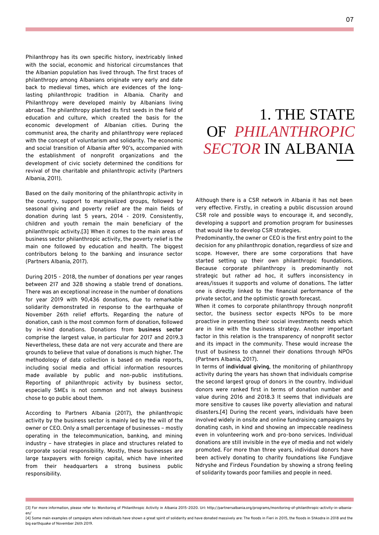Philanthropy has its own specific history, inextricably linked with the social, economic and historical circumstances that the Albanian population has lived through. The first traces of philanthropy among Albanians originate very early and date back to medieval times, which are evidences of the longlasting philanthropic tradition in Albania. Charity and Philanthropy were developed mainly by Albanians living abroad. The philanthropy planted its first seeds in the field of education and culture, which created the basis for the economic development of Albanian cities. During the communist area, the charity and philanthropy were replaced with the concept of voluntarism and solidarity. The economic and social transition of Albania after 90's, accompanied with the establishment of nonprofit organizations and the development of civic society determined the conditions for revival of the charitable and philanthropic activity (Partners Albania, 2011).

Based on the daily monitoring of the philanthropic activity in the country, support to marginalized groups, followed by seasonal giving and poverty relief are the main fields of donation during last 5 years, 2014 - 2019. Consistently, children and youth remain the main beneficiary of the philanthropic activity.[3] When it comes to the main areas of business sector philanthropic activity, the poverty relief is the main one followed by education and health. The biggest contributors belong to the banking and insurance sector (Partners Albania, 2017).

During 2015 - 2018, the number of donations per year ranges between 217 and 328 showing a stable trend of donations. There was an exceptional increase in the number of donations for year 2019 with 90,436 donations, due to remarkable solidarity demonstrated in response to the earthquake of November 26th relief efforts. Regarding the nature of donation, cash is the most common form of donation, followed by in-kind donations. Donations from **business sector** comprise the largest value, in particular for 2017 and 2019.3 Nevertheless, these data are not very accurate and there are grounds to believe that value of donations is much higher. The methodology of data collection is based on media reports, including social media and official information resources made available by public and non-public institutions.

Reporting of philanthropic activity by business sector, especially SMEs is not common and not always business chose to go public about them.

According to Partners Albania (2017), the philanthropic activity by the business sector is mainly led by the will of the owner or CEO. Only a small percentage of businesses – mostly operating in the telecommunication, banking, and mining industry – have strategies in place and structures related to corporate social responsibility. Mostly, these businesses are large taxpayers with foreign capital, which have inherited from their headquarters a strong business public responsibility.

[3] For more information, please refer to: Monitoring of Philanthropic Activity in Albania 2015-2020. Url: http://partnersalbania.org/programs/monitoring-of-philanthropic-activity-in-albaniaen/

[4] Some main examples of campaigns where individuals have shown a great spirit of solidarity and have donated massively are: The floods in Fieri in 2015, the floods in Shkodra in 2018 and the big earthquake of November 26th 2019.

Although there is a CSR network in Albania it has not been very effective. Firstly, in creating a public discussion around CSR role and possible ways to encourage it, and secondly, developing a support and promotion program for businesses that would like to develop CSR strategies.

Predominantly, the owner or CEO is the first entry point to the decision for any philanthropic donation, regardless of size and scope. However, there are some corporations that have started setting up their own philanthropic foundations. Because corporate philanthropy is predominantly not strategic but rather ad hoc, it suffers inconsistency in areas/issues it supports and volume of donations. The latter one is directly linked to the financial performance of the private sector, and the optimistic growth forecast.

When it comes to corporate philanthropy through nonprofit sector, the business sector expects NPOs to be more proactive in presenting their social investments needs which are in line with the business strategy. Another important factor in this relation is the transparency of nonprofit sector and its impact in the community. These would increase the trust of business to channel their donations through NPOs (Partners Albania, 2017).

In terms of **individual giving**, the monitoring of philanthropy activity during the years has shown that individuals comprise

the second largest group of donors in the country. Individual donors were ranked first in terms of donation number and value during 2016 and 2018.3 It seems that individuals are more sensitive to causes like poverty alleviation and natural disasters.[4] During the recent years, individuals have been involved widely in onsite and online fundraising campaigns by donating cash, in kind and showing an impeccable readiness even in volunteering work and pro-bono services. Individual donations are still invisible in the eye of media and not widely promoted. For more than three years, individual donors have been actively donating to charity foundations like Fundjave Ndryshe and Firdeus Foundation by showing a strong feeling of solidarity towards poor families and people in need.

## 1. THE STATE OF *PHILANTHROPIC SECTOR* IN ALBANIA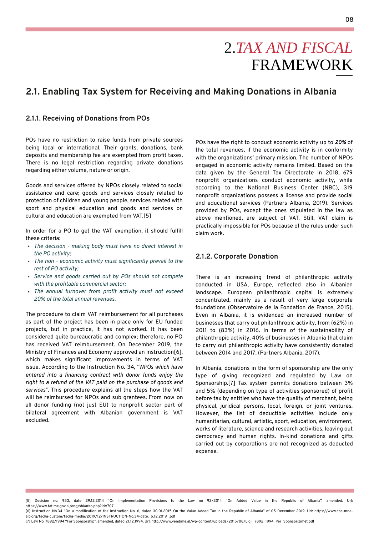POs have no restriction to raise funds from private sources being local or international. Their grants, donations, bank deposits and membership fee are exempted from profit taxes. There is no legal restriction regarding private donations regarding either volume, nature or origin.

Goods and services offered by NPOs closely related to social

assistance and care; goods and services closely related to protection of children and young people, services related with sport and physical education and goods and services on cultural and education are exempted from VAT.[5]

In order for a PO to get the VAT exemption, it should fulfill these criteria:

- *The decision - making body must have no direct interest in the PO activity;*
- *The non - economic activity must significantly prevail to the rest of PO activity;*
- *Service and goods carried out by POs should not compete with the profitable commercial sector;*
- *The annual turnover from profit activity must not exceed 20% of the total annual revenues.*

The procedure to claim VAT reimbursement for all purchases as part of the project has been in place only for EU funded projects, but in practice, it has not worked. It has been considered quite bureaucratic and complex; therefore, no PO has received VAT reimbursement. On December 2019, the Ministry of Finances and Economy approved an Instruction[6], which makes significant improvements in terms of VAT issue. According to the Instruction No. 34, "*NPOs which have entered into a financing contract with donor funds enjoy the right to a refund of the VAT paid on the purchase of goods and services".* This procedure explains all the steps how the VAT will be reimbursed for NPOs and sub grantees. From now on all donor funding (not just EU) to nonprofit sector part of bilateral agreement with Albanian government is VAT excluded.

[5] Decision no. 953, date 29.12.2014 "On Implementation Provisions to the Law no 92/2014 "On Added Value in the Republic of Albania" , amended. Url: https://www.tatime.gov.al/eng/shkarko.php?id=707

[6] Instruction No.34 "On a modification of the Instruction No. 6, dated 30.01.2015 On the Value Added Tax in the Republic of Albania" of 05 December 2019. Url: https://www.cbc-mnealb.org/tacka-custom/tacka-media/2019/12/INSTRUCTION-No.34-date.\_5.12.2019\_.pdf

[7] Law No. 7892/1994 "For Sponsorship" , amended, dated 21.12.1994. Url: http://www.vendime.al/wp-content/uploads/2015/08/Ligji\_7892\_1994\_Per\_Sponsorizimet.pdf

# 2.*TAX AND FISCAL* FRAMEWORK

### **2.1. Enabling Tax System for Receiving and Making Donations in Albania**

#### **2.1.1. Receiving of Donations from POs**

#### **2.1.2. Corporate Donation**

There is an increasing trend of philanthropic activity conducted in USA, Europe, reflected also in Albanian landscape. European philanthropic capital is extremely concentrated, mainly as a result of very large corporate foundations (Observatoire de la Fondation de France, 2015). Even in Albania, it is evidenced an increased number of businesses that carry out philanthropic activity, from (62%) in 2011 to (83%) in 2016. In terms of the sustainability of philanthropic activity, 40% of businesses in Albania that claim to carry out philanthropic activity have consistently donated between 2014 and 2017. (Partners Albania, 2017).

In Albania, donations in the form of sponsorship are the only type of giving recognized and regulated by Law on Sponsorship.[7] Tax system permits donations between 3% and 5% (depending on type of activities sponsored) of profit before tax by entities who have the quality of merchant, being physical, juridical persons, local, foreign, or joint ventures. However, the list of deductible activities include only humanitarian, cultural, artistic, sport, education, environment, works of literature, science and research activities, leaving out democracy and human rights. In-kind donations and gifts carried out by corporations are not recognized as deducted expense.

POs have the right to conduct economic activity up to *20%* of the total revenues, if the economic activity is in conformity with the organizations' primary mission. The number of NPOs engaged in economic activity remains limited. Based on the data given by the General Tax Directorate in 2018, 679 nonprofit organizations conduct economic activity, while according to the National Business Center (NBC), 319 nonprofit organizations possess a license and provide social and educational services (Partners Albania, 2019). Services provided by POs, except the ones stipulated in the law as above mentioned, are subject of VAT. Still, VAT claim is practically impossible for POs because of the rules under such claim work.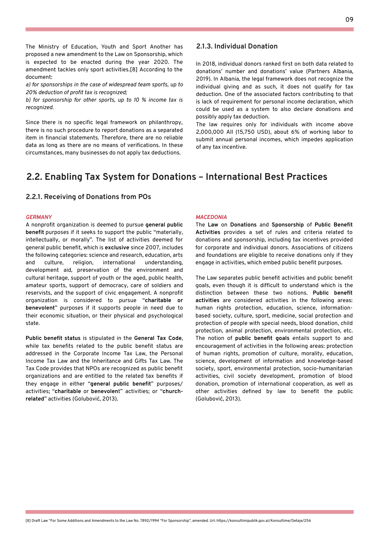In 2018, individual donors ranked first on both data related to donations' number and donations' value (Partners Albania, 2019). In Albania, the legal framework does not recognize the individual giving and as such, it does not qualify for tax deduction. One of the associated factors contributing to that is lack of requirement for personal income declaration, which could be used as a system to also declare donations and possibly apply tax deduction.

The law requires only for individuals with income above 2,000,000 All (15,750 USD), about 6% of working labor to submit annual personal incomes, which impedes application of any tax incentive.

### **2.1.3. Individual Donation**

#### **2.2.1. Receiving of Donations from POs**

#### *GERMANY*

A nonprofit organization is deemed to pursue **general public benefit** purposes if it seeks to support the public "materially, intellectually, or morally". The list of activities deemed for general public benefit, which is **exclusive** since 2007, includes the following categories: science and research, education, arts and culture, religion, international understanding, development aid, preservation of the environment and cultural heritage, support of youth or the aged, public health, amateur sports, support of democracy, care of soldiers and reservists, and the support of civic engagement. A nonprofit organization is considered to pursue "**charitable or benevolent**" purposes if it supports people in need due to their economic situation, or their physical and psychological state.

**Public benefit status** is stipulated in the **General Tax Code**, while tax benefits related to the public benefit status are addressed in the Corporate Income Tax Law, the Personal Income Tax Law and the Inheritance and Gifts Tax Law. The Tax Code provides that NPOs are recognized as public benefit organizations and are entitled to the related tax benefits if they engage in either "**general public benefit**" purposes/ activities; "**charitable** or **benevolen**t" activities; or "**churchrelated**" activities (Golubović, 2013).

### **2.2. Enabling Tax System for Donations – International Best Practices**

#### *MACEDONIA*

The **Law** on **Donations** and **Sponsorship** of **Public Benefit Activities** provides a set of rules and criteria related to donations and sponsorship, including tax incentives provided for corporate and individual donors. Associations of citizens and foundations are eligible to receive donations only if they engage in activities, which embed public benefit purposes.

The Law separates public benefit activities and public benefit goals, even though it is difficult to understand which is the distinction between these two notions. **Public benefit activities** are considered activities in the following areas: human rights protection, education, science, informationbased society, culture, sport, medicine, social protection and protection of people with special needs, blood donation, child protection, animal protection, environmental protection, etc. The notion of **public benefit goals** entails support to and encouragement of activities in the following areas: protection of human rights, promotion of culture, morality, education, science, development of information and knowledge-based society, sport, environmental protection, socio-humanitarian activities, civil society development, promotion of blood donation, promotion of international cooperation, as well as other activities defined by law to benefit the public (Golubović, 2013).

[8] Draft Law "For Some Additions and Amendments to the Law No. 7892/1994 "For Sponsorship", amended. Url: https://konsultimipublik.gov.al/Konsultime/Detaje/256

The Ministry of Education, Youth and Sport Another has proposed a new amendment to the Law on Sponsorship, which is expected to be enacted during the year 2020. The amendment tackles only sport activities.[8] According to the document:

*a) for sponsorships in the case of widespread team sports, up to 20% deduction of profit tax is recognized;*

*b) for sponsorship for other sports, up to 10 % income tax is recognized.*

Since there is no specific legal framework on philanthropy, there is no such procedure to report donations as a separated item in financial statements. Therefore, there are no reliable data as long as there are no means of verifications. In these circumstances, many businesses do not apply tax deductions.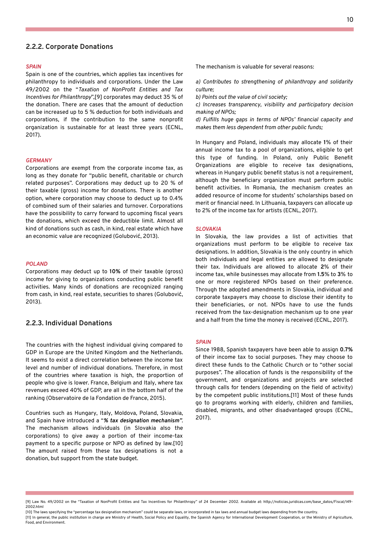#### **2.2.2. Corporate Donations**

#### *SPAIN*

Spain is one of the countries, which applies tax incentives for philanthropy to individuals and corporations. Under the Law 49/2002 on the "*Taxation of NonProfit Entities and Tax Incentives for Philanthropy*" ,[9] corporates may deduct 35 % of the donation. There are cases that the amount of deduction can be increased up to 5 % deduction for both individuals and corporations, if the contribution to the same nonprofit organization is sustainable for at least three years (ECNL, 2017).

The mechanism is valuable for several reasons:

*a) Contributes to strengthening of philanthropy and solidarity culture;*

*b) Points out the value of civil society;*

*c) Increases transparency, visibility and participatory decision making of NPOs;*

*d) Fulfills huge gaps in terms of NPOs' financial capacity and makes them less dependent from other public funds;*

In Hungary and Poland, individuals may allocate **1**% of their annual income tax to a pool of organizations, eligible to get this type of funding. In Poland, only Public Benefit Organizations are eligible to receive tax designations, whereas in Hungary public benefit status is not a requirement, although the beneficiary organization must perform public benefit activities. In Romania, the mechanism creates an added resource of income for students' scholarships based on merit or financial need. In Lithuania, taxpayers can allocate up to 2% of the income tax for artists (ECNL, 2017).

[9] Law No. 49/2002 on the "Taxation of NonProfit Entities and Tax Incentives for Philanthropy" of 24 December 2002. Available at: http://noticias.juridicas.com/base\_datos/Fiscal/l49- 2002.html

[10] The laws specifying the "percentage tax designation mechanism" could be separate laws, or incorporated in tax laws and annual budget laws depending from the country.

[11] In general, the public institution in charge are Ministry of Health, Social Policy and Equality, the Spanish Agency for International Development Cooperation, or the Ministry of Agriculture, Food, and Environment.

#### *GERMANY*

Corporations are exempt from the corporate income tax, as long as they donate for "public benefit, charitable or church related purposes". Corporations may deduct up to 20 % of their taxable (gross) income for donations. There is another option, where corporation may choose to deduct up to 0.4% of combined sum of their salaries and turnover. Corporations have the possibility to carry forward to upcoming fiscal years the donations, which exceed the deductible limit. Almost all kind of donations such as cash, in kind, real estate which have an economic value are recognized (Golubović, 2013).

#### *POLAND*

Corporations may deduct up to **10%** of their taxable (gross) income for giving to organizations conducting public benefit activities. Many kinds of donations are recognized ranging from cash, in kind, real estate, securities to shares (Golubović, 2013).

#### **2.2.3. Individual Donations**

The countries with the highest individual giving compared to GDP in Europe are the United Kingdom and the Netherlands. It seems to exist a direct correlation between the income tax level and number of individual donations. Therefore, in most of the countries where taxation is high, the proportion of

people who give is lower. France, Belgium and Italy, where tax revenues exceed 40% of GDP, are all in the bottom half of the ranking (Observatoire de la Fondation de France, 2015).

Countries such as Hungary, Italy, Moldova, Poland, Slovakia, and Spain have introduced a "*% tax designation mechanism"*. The mechanism allows individuals (in Slovakia also the corporations) to give away a portion of their income-tax payment to a specific purpose or NPO as defined by law.[10] The amount raised from these tax designations is not a donation, but support from the state budget.

#### *SLOVAKIA*

In Slovakia, the law provides a list of activities that organizations must perform to be eligible to receive tax designations. In addition, Slovakia is the only country in which both individuals and legal entities are allowed to designate their tax. Individuals are allowed to allocate **2**% of their income tax, while businesses may allocate from **1.5**% to **3**% to one or more registered NPOs based on their preference. Through the adopted amendments in Slovakia, individual and corporate taxpayers may choose to disclose their identity to their beneficiaries, or not. NPOs have to use the funds received from the tax-designation mechanism up to one year and a half from the time the money is received (ECNL, 2017).

#### *SPAIN*

Since 1988, Spanish taxpayers have been able to assign **0.7%** of their income tax to social purposes. They may choose to direct these funds to the Catholic Church or to "other social purposes". The allocation of funds is the responsibility of the government, and organizations and projects are selected through calls for tenders (depending on the field of activity) by the competent public institutions.[11] Most of these funds go to programs working with elderly, children and families, disabled, migrants, and other disadvantaged groups (ECNL, 2017).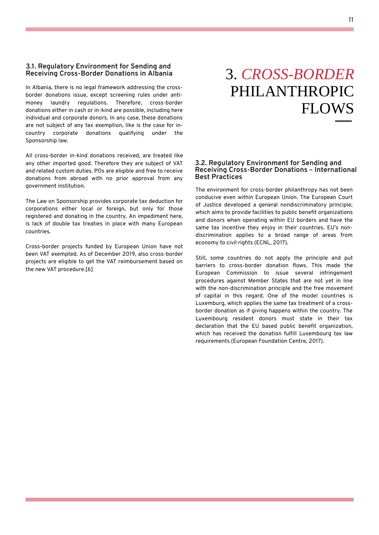In Albania, there is no legal framework addressing the crossborder donations issue, except screening rules under antimoney laundry regulations. Therefore, cross-border donations either in cash or in-kind are possible, including here individual and corporate donors. In any case, these donations are not subject of any tax exemption, like is the case for incountry corporate donations qualifying under the Sponsorship law.

All cross-border in-kind donations received, are treated like any other imported good. Therefore they are subject of VAT and related custom duties. POs are eligible and free to receive donations from abroad with no prior approval from any government institution.

The Law on Sponsorship provides corporate tax deduction for corporations either local or foreign, but only for those registered and donating in the country. An impediment here, is lack of double tax treaties in place with many European countries.

Cross-border projects funded by European Union have not been VAT exempted. As of December 2019, also cross-border projects are eligible to get the VAT reimbursement based on the new VAT procedure.[6]

The environment for cross-border philanthropy has not been conducive even within European Union. The European Court of Justice developed a general nondiscriminatory principle, which aims to provide facilities to public benefit organizations and donors when operating within EU borders and have the same tax incentive they enjoy in their countries. EU's nondiscrimination applies to a broad range of areas from economy to civil rights (ECNL, 2017).

Still, some countries do not apply the principle and put barriers to cross-border donation flows. This made the European Commission to issue several infringement procedures against Member States that are not yet in line with the non-discrimination principle and the free movement of capital in this regard. One of the model countries is Luxemburg, which applies the same tax treatment of a crossborder donation as if giving happens within the country. The Luxembourg resident donors must state in their tax declaration that the EU based public benefit organization, which has received the donation fulfill Luxembourg tax law requirements (European Foundation Centre, 2017).

# 3. *CROSS-BORDER* PHILANTHROPIC FLOWS

#### **3.1. Regulatory Environment for Sending and Receiving Cross-Border Donations in Albania**

#### **3.2. Regulatory Environment for Sending and Receiving Cross-Border Donations – International Best Practices**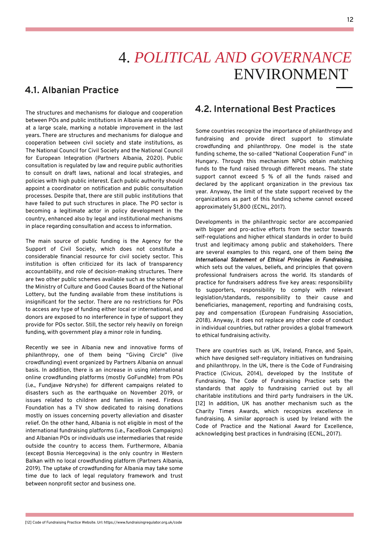The structures and mechanisms for dialogue and cooperation between POs and public institutions in Albania are established at a large scale, marking a notable improvement in the last years. There are structures and mechanisms for dialogue and cooperation between civil society and state institutions, as The National Council for Civil Society and the National Council for European Integration (Partners Albania, 2020). Public consultation is regulated by law and require public authorities to consult on draft laws, national and local strategies, and policies with high public interest. Each public authority should appoint a coordinator on notification and public consultation processes. Despite that, there are still public institutions that have failed to put such structures in place. The PO sector is becoming a legitimate actor in policy development in the country, enhanced also by legal and institutional mechanisms in place regarding consultation and access to information.

The main source of public funding is the Agency for the Support of Civil Society, which does not constitute a considerable financial resource for civil society sector. This institution is often criticized for its lack of transparency accountability, and role of decision-making structures. There are two other public schemes available such as the scheme of the Ministry of Culture and Good Causes Board of the National Lottery, but the funding available from these institutions is insignificant for the sector. There are no restrictions for POs to access any type of funding either local or international, and donors are exposed to no interference in type of support they provide for POs sector. Still, the sector rely heavily on foreign funding, with government play a minor role in funding.

Recently we see in Albania new and innovative forms of philanthropy, one of them being "Giving Circle" (live crowdfunding) event organized by Partners Albania on annual basis. In addition, there is an increase in using international online crowdfunding platforms (mostly GoFundMe) from POs (i.e., Fundjave Ndryshe) for different campaigns related to disasters such as the earthquake on November 2019, or issues related to children and families in need. Firdeus Foundation has a TV show dedicated to raising donations mostly on issues concerning poverty alleviation and disaster relief. On the other hand, Albania is not eligible in most of the international fundraising platforms (i.e., FaceBook Campaigns) and Albanian POs or individuals use intermediaries that reside outside the country to access them. Furthermore, Albania (except Bosnia Hercegovina) is the only country in Western Balkan with no local crowdfunding platform (Partners Albania, 2019). The uptake of crowdfunding for Albania may take some time due to lack of legal regulatory framework and trust between nonprofit sector and business one.

## 4. *POLITICAL AND GOVERNANCE* ENVIRONMENT

### **4.1. Albanian Practice**

Some countries recognize the importance of philanthropy and fundraising and provide direct support to stimulate crowdfunding and philanthropy. One model is the state funding scheme, the so-called "National Cooperation Fund" in Hungary. Through this mechanism NPOs obtain matching funds to the fund raised through different means. The state support cannot exceed 5 % of all the funds raised and declared by the applicant organization in the previous tax

year. Anyway, the limit of the state support received by the organizations as part of this funding scheme cannot exceed approximately \$1,800 (ECNL, 2017).

Developments in the philanthropic sector are accompanied with bigger and pro-active efforts from the sector towards self-regulations and higher ethical standards in order to build trust and legitimacy among public and stakeholders. There are several examples to this regard, one of them being *the International Statement of Ethical Principles in Fundraising*, which sets out the values, beliefs, and principles that govern professional fundraisers across the world. Its standards of practice for fundraisers address five key areas: responsibility to supporters, responsibility to comply with relevant legislation/standards, responsibility to their cause and beneficiaries, management, reporting and fundraising costs, pay and compensation (European Fundraising Association, 2018). Anyway, it does not replace any other code of conduct in individual countries, but rather provides a global framework to ethical fundraising activity.

There are countries such as UK, Ireland, France, and Spain, which have designed self-regulatory initiatives on fundraising and philanthropy. In the UK, there is the Code of Fundraising Practice (Civicus, 2014), developed by the Institute of Fundraising. The Code of Fundraising Practice sets the standards that apply to fundraising carried out by all charitable institutions and third party fundraisers in the UK. [12] In addition, UK has another mechanism such as the Charity Times Awards, which recognizes excellence in fundraising. A similar approach is used by Ireland with the Code of Practice and the National Award for Excellence, acknowledging best practices in fundraising (ECNL, 2017).

### **4.2. International Best Practices**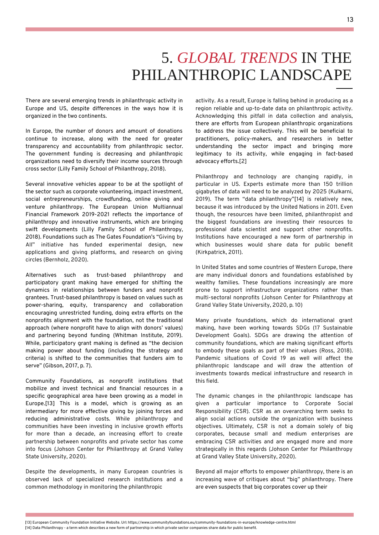There are several emerging trends in philanthropic activity in Europe and US, despite differences in the ways how it is organized in the two continents.

In Europe, the number of donors and amount of donations continue to increase, along with the need for greater transparency and accountability from philanthropic sector. The government funding is decreasing and philanthropic organizations need to diversify their income sources through cross sector (Lilly Family School of Philanthropy, 2018).

Several innovative vehicles appear to be at the spotlight of

the sector such as corporate volunteering, impact investment, social entrepreneurships, crowdfunding, online giving and venture philanthropy. The European Union Multiannual Financial Framework 2019-2021 reflects the importance of philanthropy and innovative instruments, which are bringing swift developments (Lilly Family School of Philanthropy, 2018). Foundations such as The Gates Foundation's "Giving by All" initiative has funded experimental design, new applications and giving platforms, and research on giving circles (Bernholz, 2020).

Alternatives such as trust-based philanthropy and participatory grant making have emerged for shifting the dynamics in relationships between funders and nonprofit grantees. Trust-based philanthropy is based on values such as power-sharing, equity, transparency and collaboration encouraging unrestricted funding, doing extra efforts on the nonprofits alignment with the foundation, not the traditional approach (where nonprofit have to align with donors' values) and partnering beyond funding (Whitman Institute, 2019). While, participatory grant making is defined as "the decision making power about funding (including the strategy and criteria) is shifted to the communities that funders aim to serve" (Gibson, 2017, p. 7).

Community Foundations, as nonprofit institutions that mobilize and invest technical and financial resources in a specific geographical area have been growing as a model in Europe.[13] This is a model, which is growing as an intermediary for more effective giving by joining forces and reducing administrative costs. While philanthropy and communities have been investing in inclusive growth efforts for more than a decade, an increasing effort to create partnership between nonprofits and private sector has come into focus (Johson Center for Philanthropy at Grand Valley State University, 2020).

Despite the developments, in many European countries is observed lack of specialized research institutions and a common methodology in monitoring the philanthropic

[13] European Community Foundation Initiative Website. Url: https://www.communityfoundations.eu/community-foundations-in-europe/knowledge-centre.html [14] Data Philanthropy - a term which describes a new form of partnership in which private sector companies share data for public benefit.

## 5. *GLOBAL TRENDS* IN THE PHILANTHROPIC LANDSCAPE

activity. As a result, Europe is falling behind in producing as a region reliable and up-to-date data on philanthropic activity. Acknowledging this pitfall in data collection and analysis, there are efforts from European philanthropic organizations to address the issue collectively. This will be beneficial to practitioners, policy-makers, and researchers in better understanding the sector impact and bringing more legitimacy to its activity, while engaging in fact-based advocacy efforts.[2]

Philanthropy and technology are changing rapidly, in particular in US. Experts estimate more than 150 trillion

gigabytes of data will need to be analyzed by 2025 (Kulkarni, 2019). The term "data philanthropy"[14] is relatively new, because it was introduced by the United Nations in 2011. Even though, the resources have been limited, philanthropist and the biggest foundations are investing their resources to professional data scientist and support other nonprofits. Institutions have encouraged a new form of partnership in which businesses would share data for public benefit (Kirkpatrick, 2011).

In United States and some countries of Western Europe, there are many individual donors and foundations established by wealthy families. These foundations increasingly are more prone to support infrastructure organizations rather than multi-sectoral nonprofits (Johson Center for Philanthropy at Grand Valley State University, 2020, p. 10)

Many private foundations, which do international grant making, have been working towards SDGs (17 Sustainable Development Goals). SDGs are drawing the attention of community foundations, which are making significant efforts to embody these goals as part of their values (Ross, 2018). Pandemic situations of Covid 19 as well will affect the philanthropic landscape and will draw the attention of investments towards medical infrastructure and research in

this field.

The dynamic changes in the philanthropic landscape has given a particular importance to Corporate Social Responsibility (CSR). CSR as an overarching term seeks to align social actions outside the organization with business objectives. Ultimately, CSR is not a domain solely of big corporates, because small and medium enterprises are embracing CSR activities and are engaged more and more strategically in this regards (Johson Center for Philanthropy at Grand Valley State University, 2020).

Beyond all major efforts to empower philanthropy, there is an increasing wave of critiques about "big" philanthropy. There are even suspects that big corporates cover up their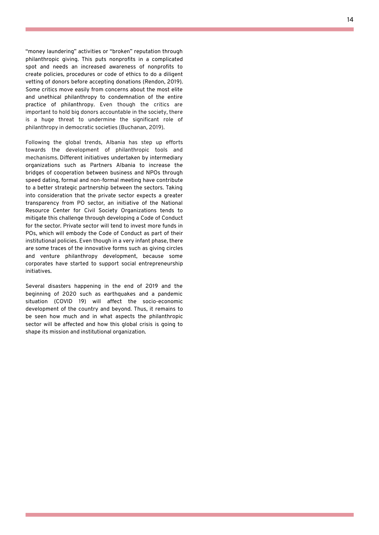"money laundering" activities or "broken" reputation through philanthropic giving. This puts nonprofits in a complicated spot and needs an increased awareness of nonprofits to create policies, procedures or code of ethics to do a diligent vetting of donors before accepting donations (Rendon, 2019). Some critics move easily from concerns about the most elite and unethical philanthropy to condemnation of the entire practice of philanthropy. Even though the critics are important to hold big donors accountable in the society, there is a huge threat to undermine the significant role of philanthropy in democratic societies (Buchanan, 2019).

Following the global trends, Albania has step up efforts towards the development of philanthropic tools and mechanisms. Different initiatives undertaken by intermediary organizations such as Partners Albania to increase the bridges of cooperation between business and NPOs through speed dating, formal and non-formal meeting have contribute to a better strategic partnership between the sectors. Taking into consideration that the private sector expects a greater transparency from PO sector, an initiative of the National Resource Center for Civil Society Organizations tends to mitigate this challenge through developing a Code of Conduct for the sector. Private sector will tend to invest more funds in POs, which will embody the Code of Conduct as part of their institutional policies. Even though in a very infant phase, there are some traces of the innovative forms such as giving circles and venture philanthropy development, because some corporates have started to support social entrepreneurship initiatives.

Several disasters happening in the end of 2019 and the beginning of 2020 such as earthquakes and a pandemic situation (COVID 19) will affect the socio-economic development of the country and beyond. Thus, it remains to be seen how much and in what aspects the philanthropic sector will be affected and how this global crisis is going to shape its mission and institutional organization.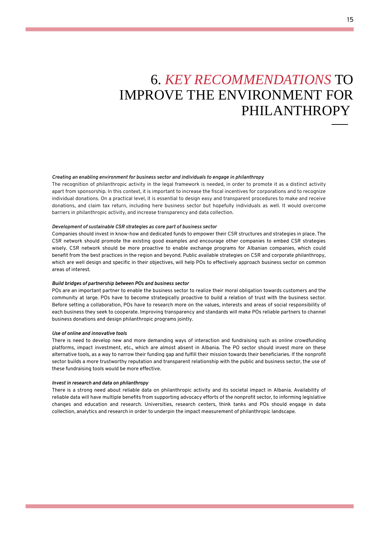### 6. *KEY RECOMMENDATIONS* TO IMPROVE THE ENVIRONMENT FOR PHILANTHROPY

*Creating an enabling environment for business sector and individuals to engage in philanthropy* The recognition of philanthropic activity in the legal framework is needed, in order to promote it as a distinct activity

apart from sponsorship. In this context, it is important to increase the fiscal incentives for corporations and to recognize individual donations. On a practical level, it is essential to design easy and transparent procedures to make and receive donations, and claim tax return, including here business sector but hopefully individuals as well. It would overcome barriers in philanthropic activity, and increase transparency and data collection.

#### *Development of sustainable CSR strategies as core part of business sector*

Companies should invest in know-how and dedicated funds to empower their CSR structures and strategies in place. The CSR network should promote the existing good examples and encourage other companies to embed CSR strategies wisely. CSR network should be more proactive to enable exchange programs for Albanian companies, which could benefit from the best practices in the region and beyond. Public available strategies on CSR and corporate philanthropy, which are well design and specific in their objectives, will help POs to effectively approach business sector on common areas of interest.

#### *Build bridges of partnership between POs and business sector*

POs are an important partner to enable the business sector to realize their moral obligation towards customers and the community at large. POs have to become strategically proactive to build a relation of trust with the business sector. Before setting a collaboration, POs have to research more on the values, interests and areas of social responsibility of each business they seek to cooperate. Improving transparency and standards will make POs reliable partners to channel business donations and design philanthropic programs jointly.

#### *Use of online and innovative tools*

There is need to develop new and more demanding ways of interaction and fundraising such as online crowdfunding platforms, impact investment, etc., which are almost absent in Albania. The PO sector should invest more on these alternative tools, as a way to narrow their funding gap and fulfill their mission towards their beneficiaries. If the nonprofit sector builds a more trustworthy reputation and transparent relationship with the public and business sector, the use of these fundraising tools would be more effective.

#### *Invest in research and data on philanthropy*

There is a strong need about reliable data on philanthropic activity and its societal impact in Albania. Availability of reliable data will have multiple benefits from supporting advocacy efforts of the nonprofit sector, to informing legislative changes and education and research. Universities, research centers, think tanks and POs should engage in data collection, analytics and research in order to underpin the impact measurement of philanthropic landscape.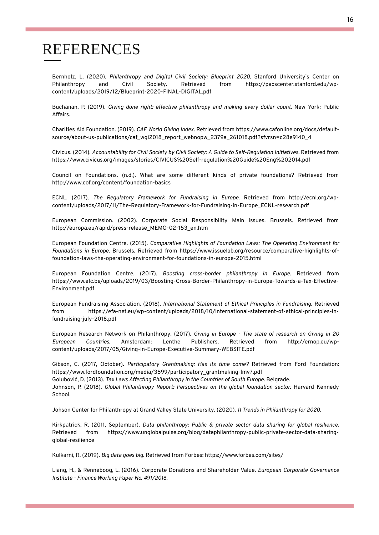### REFERENCES

Bernholz, L. (2020). *Philanthropy and Digital Civil Society: Blueprint 2020.* Stanford University's Center on Philanthropy and Civil Society. Retrieved from https://pacscenter.stanford.edu/wpcontent/uploads/2019/12/Blueprint-2020-FINAL-DIGITAL.pdf

Buchanan, P. (2019). *Giving done right: effective philanthropy and making every dollar count.* New York: Public Affairs.

Charities Aid Foundation. (2019). *CAF World Giving Index.* Retrieved from https://www.cafonline.org/docs/defaultsource/about-us-publications/caf\_wgi2018\_report\_webnopw\_2379a\_261018.pdf?sfvrsn=c28e9140\_4

Civicus. (2014). *Accountability for Civil Society by Civil Society: A Guide to Self-Regulation Initiatives.* Retrieved from https://www.civicus.org/images/stories/CIVICUS%20Self-regulation%20Guide%20Eng%202014.pdf

Council on Foundations. (n.d.). What are some different kinds of private foundations? Retrieved from http://www.cof.org/content/foundation-basics

ECNL. (2017). *The Regulatory Framework for Fundraising in Europe.* Retrieved from http://ecnl.org/wpcontent/uploads/2017/11/The-Regulatory-Framework-for-Fundraising-in-Europe\_ECNL-research.pdf

European Commission. (2002). Corporate Social Responsibility Main issues. Brussels. Retrieved from http://europa.eu/rapid/press-release\_MEMO-02-153\_en.htm

European Foundation Centre. (2015). *Comparative Highlights of Foundation Laws: The Operating Environment for Foundations in Europe.* Brussels. Retrieved from https://www.issuelab.org/resource/comparative-highlights-offoundation-laws-the-operating-environment-for-foundations-in-europe-2015.html

European Foundation Centre. (2017). *Boosting cross-border philanthropy in Europe.* Retrieved from https://www.efc.be/uploads/2019/03/Boosting-Cross-Border-Philanthropy-in-Europe-Towards-a-Tax-Effective-Environment.pdf

European Fundraising Association. (2018). *International Statement of Ethical Principles in Fundraising.* Retrieved from https://efa-net.eu/wp-content/uploads/2018/10/international-statement-of-ethical-principles-infundraising-july-2018.pdf

European Research Network on Philanthropy. (2017). *Giving in Europe - The state of research on Giving in 20 European Countries.* Amsterdam: Lenthe Publishers. Retrieved from http://ernop.eu/wpcontent/uploads/2017/05/Giving-in-Europe-Executive-Summary-WEBSITE.pdf

Gibson, C. (2017, October). *Participatory Grantmaking: Has its time come?* Retrieved from Ford Foundation: https://www.fordfoundation.org/media/3599/participatory\_grantmaking-lmv7.pdf Golubović, D. (2013). *Tax Laws Affecting Philanthropy in the Countries of South Europe.* Belgrade. Johnson, P. (2018). *Global Philanthropy Report: Perspectives on the global foundation sector.* Harvard Kennedy School.

Johson Center for Philanthropy at Grand Valley State University. (2020). *11 Trends in Philanthropy for 2020.*

Kirkpatrick, R. (2011, September). *Data philanthropy: Public & private sector data sharing for global resilience.* Retrieved from https://www.unglobalpulse.org/blog/dataphilanthropy-public-private-sector-data-sharingglobal-resilience

Kulkarni, R. (2019). *Big data goes big.* Retrieved from Forbes: https://www.forbes.com/sites/

Liang, H., & Renneboog, L. (2016). Corporate Donations and Shareholder Value. *European Corporate Governance Institute - Finance Working Paper No. 491/2016*.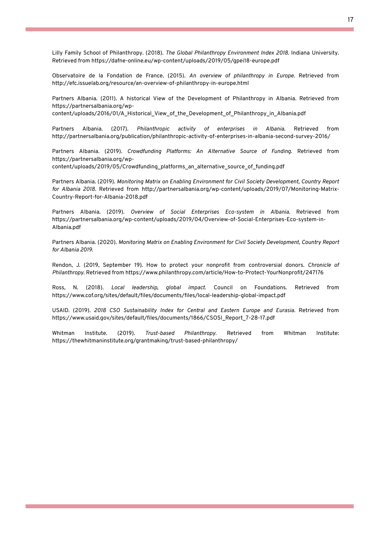Lilly Family School of Philanthropy. (2018). *The Global Philanthropy Environment Index 2018.* Indiana University. Retrieved from https://dafne-online.eu/wp-content/uploads/2019/05/gpei18-europe.pdf

Observatoire de la Fondation de France. (2015). *An overview of philanthropy in Europe.* Retrieved from http://efc.issuelab.org/resource/an-overview-of-philanthropy-in-europe.html

Partners Albania. (2011). A historical View of the Development of Philanthropy in Albania. Retrieved from https://partnersalbania.org/wpcontent/uploads/2016/01/A\_Historical\_View\_of\_the\_Development\_of\_Philanthropy\_in\_Albania.pdf

Partners Albania. (2017). *Philanthropic activity of enterprises in Albania.* Retrieved from http://partnersalbania.org/publication/philanthropic-activity-of-enterprises-in-albania-second-survey-2016/

Partners Albania. (2019). *Crowdfunding Platforms: An Alternative Source of Funding.* Retrieved from https://partnersalbania.org/wp-

content/uploads/2019/05/Crowdfunding\_platforms\_an\_alternative\_source\_of\_funding.pdf

Partners Albania. (2019). *Monitoring Matrix on Enabling Environment for Civil Society Development, Country Report for Albania 2018.* Retrieved from http://partnersalbania.org/wp-content/uploads/2019/07/Monitoring-Matrix-Country-Report-for-Albania-2018.pdf

Partners Albania. (2019). *Overview of Social Enterprises Eco-system in Albania.* Retrieved from https://partnersalbania.org/wp-content/uploads/2019/04/Overview-of-Social-Enterprises-Eco-system-in-Albania.pdf

Partners Albania. (2020). *Monitoring Matrix on Enabling Environment for Civil Society Development, Country Report for Albania 2019.*

Rendon, J. (2019, September 19). How to protect your nonprofit from controversial donors. *Chronicle of Philanthropy*. Retrieved from https://www.philanthropy.com/article/How-to-Protect-YourNonprofit/247176

Ross, N. (2018). *Local leadership, global impact.* Council on Foundations. Retrieved from https://www.cof.org/sites/default/files/documents/files/local-leadership-global-impact.pdf

USAID. (2019). *2018 CSO Sustainability Index for Central and Eastern Europe and Eurasia.* Retrieved from https://www.usaid.gov/sites/default/files/documents/1866/CSOSI\_Report\_7-28-17.pdf

Whitman Institute. (2019). *Trust-based Philanthropy.* Retrieved from Whitman Institute: https://thewhitmaninstitute.org/grantmaking/trust-based-philanthropy/